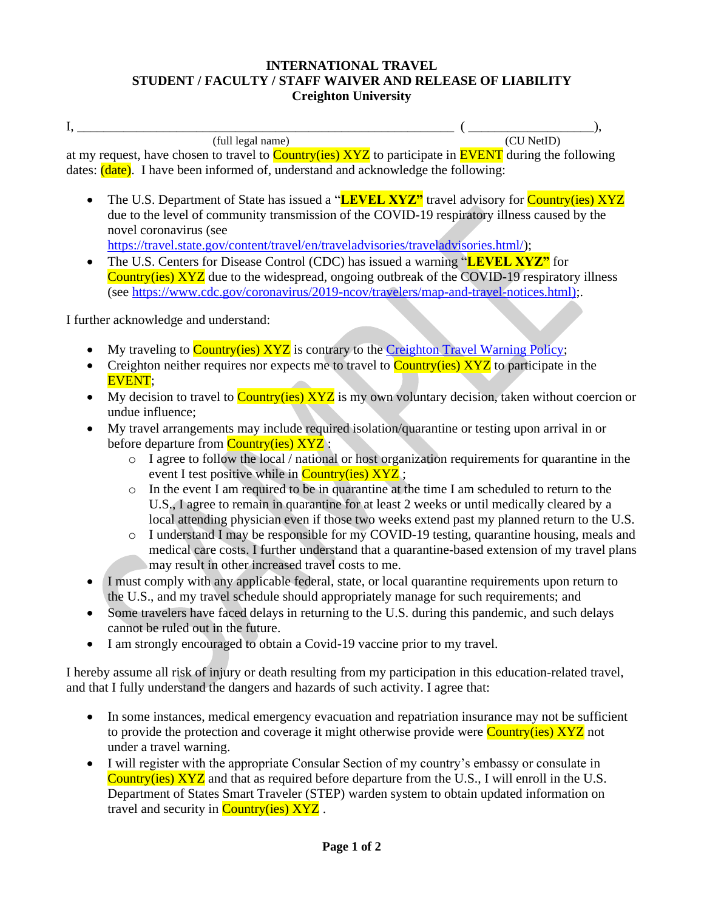## **INTERNATIONAL TRAVEL STUDENT / FACULTY / STAFF WAIVER AND RELEASE OF LIABILITY Creighton University**

 $I, \underline{\hspace{1cm}}$  (full legal name)  $($   $\underline{\hspace{1cm}}$  ( $\underline{\hspace{1cm}}$  ( $\underline{\hspace{1cm}}$  ( $\underline{\hspace{1cm}}$  ( $\underline{\hspace{1cm}}$  ( $\underline{\hspace{1cm}}$  ( $\underline{\hspace{1cm}}$  ),  $(full \text{ legal name})$ 

at my request, have chosen to travel to **Country(ies) XYZ** to participate in **EVENT** during the following dates:  $(\text{date})$ . I have been informed of, understand and acknowledge the following:

- The U.S. Department of State has issued a "**LEVEL XYZ"** travel advisory for **Country(ies) XYZ** due to the level of community transmission of the COVID-19 respiratory illness caused by the novel coronavirus (see [https://travel.state.gov/content/travel/en/traveladvisories/traveladvisories.html/\)](https://travel.state.gov/content/travel/en/traveladvisories/traveladvisories.html/);
- The U.S. Centers for Disease Control (CDC) has issued a warning "**LEVEL XYZ**" for Country(ies) XYZ due to the widespread, ongoing outbreak of the COVID-19 respiratory illness (see [https://www.cdc.gov/coronavirus/2019-ncov/travelers/map-and-travel-notices.html\);](https://www.cdc.gov/coronavirus/2019-ncov/travelers/map-and-travel-notices.html)).

I further acknowledge and understand:

- My traveling to  $\frac{\text{Country(ies)} XYZ}{\text{is contrary to the Creighton Travel Warning Policy}}$ ;
- Creighton neither requires nor expects me to travel to  $\frac{\text{Country(ies)} XYZ}$  to participate in the EVENT;
- My decision to travel to Country(ies) XYZ is my own voluntary decision, taken without coercion or undue influence;
- My travel arrangements may include required isolation/quarantine or testing upon arrival in or before departure from **Country(ies) XYZ** :
	- o I agree to follow the local / national or host organization requirements for quarantine in the event I test positive while in **Country(ies) XYZ** ;
	- o In the event I am required to be in quarantine at the time I am scheduled to return to the U.S., I agree to remain in quarantine for at least 2 weeks or until medically cleared by a local attending physician even if those two weeks extend past my planned return to the U.S.
	- o I understand I may be responsible for my COVID-19 testing, quarantine housing, meals and medical care costs. I further understand that a quarantine-based extension of my travel plans may result in other increased travel costs to me.
- I must comply with any applicable federal, state, or local quarantine requirements upon return to the U.S., and my travel schedule should appropriately manage for such requirements; and
- Some travelers have faced delays in returning to the U.S. during this pandemic, and such delays cannot be ruled out in the future.
- I am strongly encouraged to obtain a Covid-19 vaccine prior to my travel.

I hereby assume all risk of injury or death resulting from my participation in this education-related travel, and that I fully understand the dangers and hazards of such activity. I agree that:

- In some instances, medical emergency evacuation and repatriation insurance may not be sufficient to provide the protection and coverage it might otherwise provide were **Country(ies)** XYZ not under a travel warning.
- I will register with the appropriate Consular Section of my country's embassy or consulate in Country(ies) XYZ and that as required before departure from the U.S., I will enroll in the U.S. Department of States Smart Traveler (STEP) warden system to obtain updated information on travel and security in **Country(ies) XYZ**.